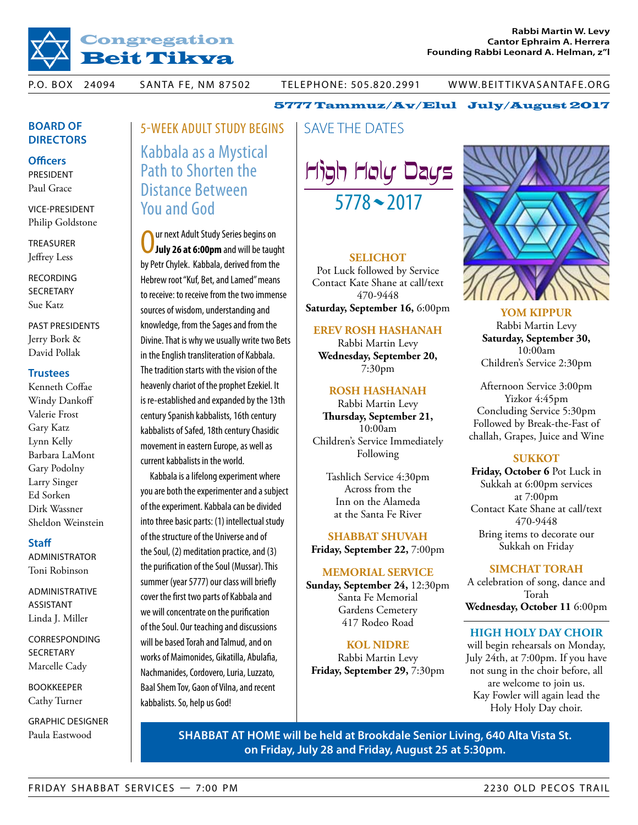

P.O. BOX 24094 SANTA FE, NM 87502 TELEPHONE: 505.820.2991 WWW.BEITTIKVASANTAFE.ORG

# **Board of Directors**

**Officers**

President Paul Grace

vice-President Philip Goldstone

**TREASURER** Jeffrey Less

**RECORDING SECRETARY** Sue Katz

past presidents Jerry Bork & David Pollak

### **Trustees**

Kenneth Coffae Windy Dankoff Valerie Frost Gary Katz Lynn Kelly Barbara LaMont Gary Podolny Larry Singer Ed Sorken Dirk Wassner Sheldon Weinstein

### **Staff**

administrator Toni Robinson

administrative assistant Linda J. Miller

**CORRESPONDING SECRETARY** Marcelle Cady

Bookkeeper Cathy Turner

graphic designer

5-WEEK ADULT STUDY BEGINS | SAVE THE DATES Kabbala as a Mystical Path to Shorten the Distance Between You and God

 $\overline{0}$ ur next Adult Study Series begins on **July 26 at 6:00pm** and will be taught by Petr Chylek. Kabbala, derived from the Hebrew root "Kuf, Bet, and Lamed" means to receive: to receive from the two immense sources of wisdom, understanding and knowledge, from the Sages and from the Divine. That is why we usually write two Bets in the English transliteration of Kabbala. The tradition starts with the vision of the heavenly chariot of the prophet Ezekiel. It is re-established and expanded by the 13th century Spanish kabbalists, 16th century kabbalists of Safed, 18th century Chasidic movement in eastern Europe, as well as current kabbalists in the world.

Kabbala is a lifelong experiment where you are both the experimenter and a subject of the experiment. Kabbala can be divided into three basic parts: (1) intellectual study of the structure of the Universe and of the Soul, (2) meditation practice, and (3) the purification of the Soul (Mussar). This summer (year 5777) our class will briefly cover the first two parts of Kabbala and we will concentrate on the purification of the Soul. Our teaching and discussions will be based Torah and Talmud, and on works of Maimonides, Gikatilla, Abulafia, Nachmanides, Cordovero, Luria, Luzzato, Baal Shem Tov, Gaon of Vilna, and recent kabbalists. So, help us God!



5777 Tammuz/Av/Elul July/August 2017

### **SELICHOT**

Pot Luck followed by Service Contact Kate Shane at call/text 470-9448 **Saturday, September 16,** 6:00pm

### **EREV ROSH HASHANAH**

Rabbi Martin Levy **Wednesday, September 20,** 7:30pm

### **ROSH HASHANAH**

Rabbi Martin Levy **Thursday, September 21,** 10:00am Children's Service Immediately Following

Tashlich Service 4:30pm Across from the Inn on the Alameda at the Santa Fe River

**SHABBAT SHUVAH Friday, September 22,** 7:00pm

### **MEMORIAL SERVICE**

**Sunday, September 24,** 12:30pm Santa Fe Memorial Gardens Cemetery 417 Rodeo Road

### **KOL NIDRE**

Rabbi Martin Levy **Friday, September 29,** 7:30pm



**YOM KIPPUR** Rabbi Martin Levy **Saturday, September 30,** 10:00am Children's Service 2:30pm

Afternoon Service 3:00pm Yizkor 4:45pm Concluding Service 5:30pm Followed by Break-the-Fast of challah, Grapes, Juice and Wine

## **SUKKOT**

**Friday, October 6** Pot Luck in Sukkah at 6:00pm services at 7:00pm Contact Kate Shane at call/text 470-9448 Bring items to decorate our Sukkah on Friday

## **SIMCHAT TORAH**

A celebration of song, dance and Torah **Wednesday, October 11** 6:00pm

# **High Holy Day Choir**

will begin rehearsals on Monday, July 24th, at 7:00pm. If you have not sung in the choir before, all are welcome to join us. Kay Fowler will again lead the Holy Holy Day choir.

Paula Eastwood **Shabbat at Home will be held at Brookdale Senior Living, 640 Alta Vista St. on Friday, July 28 and Friday, August 25 at 5:30pm.**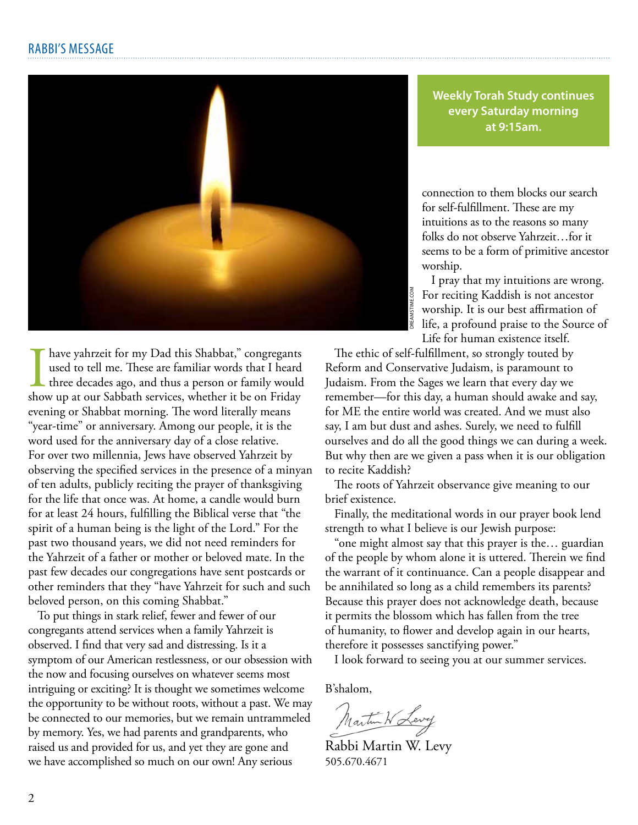

**Weekly Torah Study continues every Saturday morning at 9:15am.**

connection to them blocks our search for self-fulfillment. These are my intuitions as to the reasons so many folks do not observe Yahrzeit…for it seems to be a form of primitive ancestor worship.

I pray that my intuitions are wrong. For reciting Kaddish is not ancestor worship. It is our best affirmation of life, a profound praise to the Source of Life for human existence itself.

I have yahrzeit for my Dad this Shabbat," congregants used to tell me. These are familiar words that I heard three decades ago, and thus a person or family would show up at our Sabbath services, whether it be on Friday have yahrzeit for my Dad this Shabbat," congregants used to tell me. These are familiar words that I heard three decades ago, and thus a person or family would evening or Shabbat morning. The word literally means "year-time" or anniversary. Among our people, it is the word used for the anniversary day of a close relative. For over two millennia, Jews have observed Yahrzeit by observing the specified services in the presence of a minyan of ten adults, publicly reciting the prayer of thanksgiving for the life that once was. At home, a candle would burn for at least 24 hours, fulfilling the Biblical verse that "the spirit of a human being is the light of the Lord." For the past two thousand years, we did not need reminders for the Yahrzeit of a father or mother or beloved mate. In the past few decades our congregations have sent postcards or other reminders that they "have Yahrzeit for such and such beloved person, on this coming Shabbat."

To put things in stark relief, fewer and fewer of our congregants attend services when a family Yahrzeit is observed. I find that very sad and distressing. Is it a symptom of our American restlessness, or our obsession with the now and focusing ourselves on whatever seems most intriguing or exciting? It is thought we sometimes welcome the opportunity to be without roots, without a past. We may be connected to our memories, but we remain untrammeled by memory. Yes, we had parents and grandparents, who raised us and provided for us, and yet they are gone and we have accomplished so much on our own! Any serious

The ethic of self-fulfillment, so strongly touted by Reform and Conservative Judaism, is paramount to Judaism. From the Sages we learn that every day we remember—for this day, a human should awake and say, for ME the entire world was created. And we must also say, I am but dust and ashes. Surely, we need to fulfill ourselves and do all the good things we can during a week. But why then are we given a pass when it is our obligation to recite Kaddish?

The roots of Yahrzeit observance give meaning to our brief existence.

Finally, the meditational words in our prayer book lend strength to what I believe is our Jewish purpose:

"one might almost say that this prayer is the… guardian of the people by whom alone it is uttered. Therein we find the warrant of it continuance. Can a people disappear and be annihilated so long as a child remembers its parents? Because this prayer does not acknowledge death, because it permits the blossom which has fallen from the tree of humanity, to flower and develop again in our hearts, therefore it possesses sanctifying power."

I look forward to seeing you at our summer services.

B'shalom,

Martin W Levy

Rabbi Martin W. Levy 505.670.4671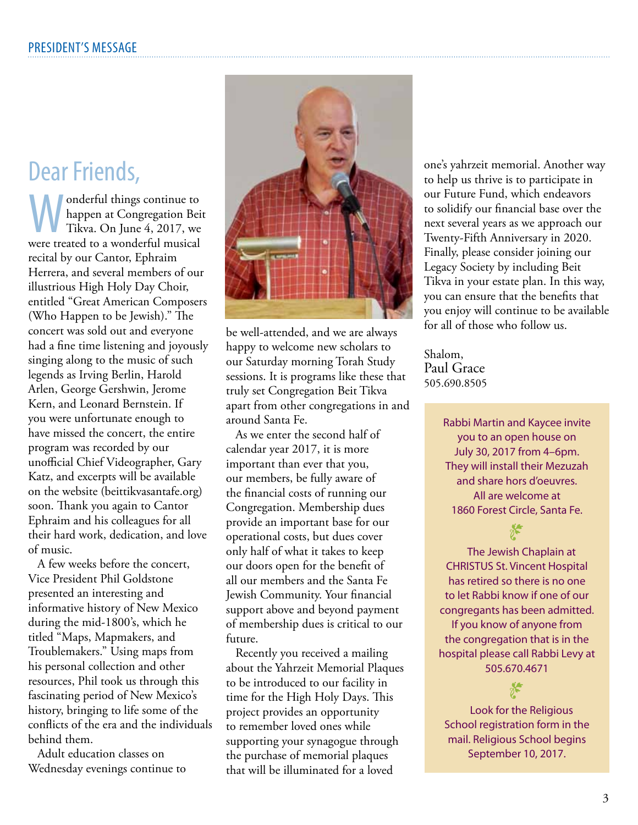# Dear Friends,

**Monderful things continue to**<br>happen at Congregation Bei<br>Tikva. On June 4, 2017, we happen at Congregation Beit Tikva. On June 4, 2017, we were treated to a wonderful musical recital by our Cantor, Ephraim Herrera, and several members of our illustrious High Holy Day Choir, entitled "Great American Composers (Who Happen to be Jewish)." The concert was sold out and everyone had a fine time listening and joyously singing along to the music of such legends as Irving Berlin, Harold Arlen, George Gershwin, Jerome Kern, and Leonard Bernstein. If you were unfortunate enough to have missed the concert, the entire program was recorded by our unofficial Chief Videographer, Gary Katz, and excerpts will be available on the website (beittikvasantafe.org) soon. Thank you again to Cantor Ephraim and his colleagues for all their hard work, dedication, and love of music.

A few weeks before the concert, Vice President Phil Goldstone presented an interesting and informative history of New Mexico during the mid-1800's, which he titled "Maps, Mapmakers, and Troublemakers." Using maps from his personal collection and other resources, Phil took us through this fascinating period of New Mexico's history, bringing to life some of the conflicts of the era and the individuals behind them.

Adult education classes on Wednesday evenings continue to



be well-attended, and we are always happy to welcome new scholars to our Saturday morning Torah Study sessions. It is programs like these that truly set Congregation Beit Tikva apart from other congregations in and around Santa Fe.

As we enter the second half of calendar year 2017, it is more important than ever that you, our members, be fully aware of the financial costs of running our Congregation. Membership dues provide an important base for our operational costs, but dues cover only half of what it takes to keep our doors open for the benefit of all our members and the Santa Fe Jewish Community. Your financial support above and beyond payment of membership dues is critical to our future.

Recently you received a mailing about the Yahrzeit Memorial Plaques to be introduced to our facility in time for the High Holy Days. This project provides an opportunity to remember loved ones while supporting your synagogue through the purchase of memorial plaques that will be illuminated for a loved

one's yahrzeit memorial. Another way to help us thrive is to participate in our Future Fund, which endeavors to solidify our financial base over the next several years as we approach our Twenty-Fifth Anniversary in 2020. Finally, please consider joining our Legacy Society by including Beit Tikva in your estate plan. In this way, you can ensure that the benefits that you enjoy will continue to be available for all of those who follow us.

Shalom, Paul Grace 505.690.8505

> Rabbi Martin and Kaycee invite you to an open house on July 30, 2017 from 4–6pm. They will install their Mezuzah and share hors d'oeuvres. All are welcome at 1860 Forest Circle, Santa Fe.

 $\sum_{k=1}^{\infty}$ The Jewish Chaplain at CHRISTUS St. Vincent Hospital has retired so there is no one to let Rabbi know if one of our congregants has been admitted. If you know of anyone from the congregation that is in the hospital please call Rabbi Levy at 505.670.4671

 $\sum_{\text{Look for the Religious}}$ School registration form in the mail. Religious School begins September 10, 2017.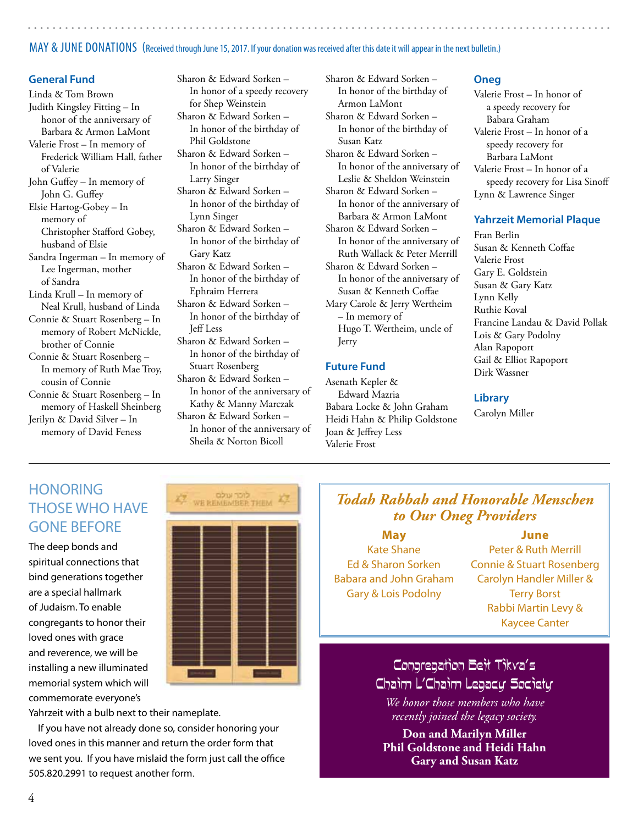# MAY & JUNE DONATIONS (Received through June 15, 2017. If your donation was received after this date it will appear in the next bulletin.)

#### **General Fund**

Linda & Tom Brown Judith Kingsley Fitting – In honor of the anniversary of Barbara & Armon LaMont Valerie Frost – In memory of Frederick William Hall, father of Valerie John Guffey – In memory of John G. Guffey Elsie Hartog-Gobey – In memory of Christopher Stafford Gobey, husband of Elsie Sandra Ingerman – In memory of Lee Ingerman, mother of Sandra Linda Krull – In memory of Neal Krull, husband of Linda Connie & Stuart Rosenberg – In memory of Robert McNickle, brother of Connie Connie & Stuart Rosenberg – In memory of Ruth Mae Troy, cousin of Connie Connie & Stuart Rosenberg – In memory of Haskell Sheinberg Jerilyn & David Silver – In memory of David Feness

Sharon & Edward Sorken – In honor of a speedy recovery for Shep Weinstein Sharon & Edward Sorken – In honor of the birthday of Phil Goldstone Sharon & Edward Sorken – In honor of the birthday of Larry Singer Sharon & Edward Sorken – In honor of the birthday of Lynn Singer Sharon & Edward Sorken – In honor of the birthday of Gary Katz Sharon & Edward Sorken – In honor of the birthday of Ephraim Herrera Sharon & Edward Sorken – In honor of the birthday of Jeff Less Sharon & Edward Sorken – In honor of the birthday of Stuart Rosenberg Sharon & Edward Sorken – In honor of the anniversary of

Kathy & Manny Marczak Sharon & Edward Sorken – In honor of the anniversary of Sheila & Norton Bicoll

Sharon & Edward Sorken – In honor of the birthday of Armon LaMont Sharon & Edward Sorken – In honor of the birthday of Susan Katz Sharon & Edward Sorken – In honor of the anniversary of Leslie & Sheldon Weinstein Sharon & Edward Sorken – In honor of the anniversary of Barbara & Armon LaMont Sharon & Edward Sorken – In honor of the anniversary of Ruth Wallack & Peter Merrill Sharon & Edward Sorken – In honor of the anniversary of Susan & Kenneth Coffae Mary Carole & Jerry Wertheim – In memory of Hugo T. Wertheim, uncle of Jerry

# **Future Fund**

Asenath Kepler & Edward Mazria Babara Locke & John Graham Heidi Hahn & Philip Goldstone Joan & Jeffrey Less Valerie Frost

#### **Oneg**

Valerie Frost – In honor of a speedy recovery for Babara Graham Valerie Frost – In honor of a speedy recovery for Barbara LaMont Valerie Frost – In honor of a speedy recovery for Lisa Sinoff Lynn & Lawrence Singer

#### **Yahrzeit Memorial Plaque**

Fran Berlin Susan & Kenneth Coffae Valerie Frost Gary E. Goldstein Susan & Gary Katz Lynn Kelly Ruthie Koval Francine Landau & David Pollak Lois & Gary Podolny Alan Rapoport Gail & Elliot Rapoport Dirk Wassner

#### **Library**

Carolyn Miller

# **HONORING** THOSE WHO HAVE GONE BEFORE

The deep bonds and spiritual connections that bind generations together are a special hallmark of Judaism. To enable congregants to honor their loved ones with grace and reverence, we will be installing a new illuminated memorial system which will commemorate everyone's



Yahrzeit with a bulb next to their nameplate.

If you have not already done so, consider honoring your loved ones in this manner and return the order form that we sent you. If you have mislaid the form just call the office 505.820.2991 to request another form.

# *Todah Rabbah and Honorable Menschen to Our Oneg Providers*

**May**

Kate Shane Ed & Sharon Sorken Babara and John Graham Gary & Lois Podolny

**June** Peter & Ruth Merrill Connie & Stuart Rosenberg Carolyn Handler Miller & Terry Borst Rabbi Martin Levy &

Kaycee Canter

# Congregation Beit Tikva's Chaim L'Chaim Legacy Society

*We honor those members who have recently joined the legacy society.*

**Don and Marilyn Miller Phil Goldstone and Heidi Hahn Gary and Susan Katz**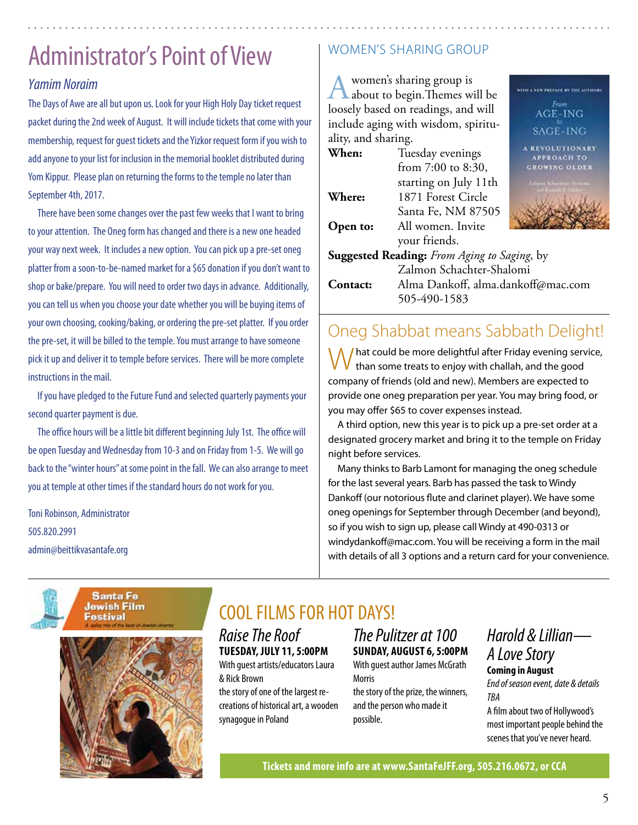# Administrator's Point of View

# *Yamim Noraim*

The Days of Awe are all but upon us. Look for your High Holy Day ticket request packet during the 2nd week of August. It will include tickets that come with your membership, request for guest tickets and the Yizkor request form if you wish to add anyone to your list for inclusion in the memorial booklet distributed during Yom Kippur. Please plan on returning the forms to the temple no later than September 4th, 2017.

There have been some changes over the past few weeks that I want to bring to your attention. The Oneg form has changed and there is a new one headed your way next week. It includes a new option. You can pick up a pre-set oneg platter from a soon-to-be-named market for a \$65 donation if you don't want to shop or bake/prepare. You will need to order two days in advance. Additionally, you can tell us when you choose your date whether you will be buying items of your own choosing, cooking/baking, or ordering the pre-set platter. If you order the pre-set, it will be billed to the temple. You must arrange to have someone pick it up and deliver it to temple before services. There will be more complete instructions in the mail.

If you have pledged to the Future Fund and selected quarterly payments your second quarter payment is due.

The office hours will be a little bit different beginning July 1st. The office will be open Tuesday and Wednesday from 10-3 and on Friday from 1-5. We will go back to the "winter hours" at some point in the fall. We can also arrange to meet you at temple at other times if the standard hours do not work for you.

Toni Robinson, Administrator 505.820.2991 admin@beittikvasantafe.org

# women's sharing group

A women's sharing group is<br>about to begin. Themes will be loosely based on readings, and will include aging with wisdom, spirituality, and sharing.

| When:    | Tuesday evenings                            | <b>APPROACH TO</b>        |
|----------|---------------------------------------------|---------------------------|
|          | from $7:00$ to $8:30$ ,                     | <b>GROWING OLDER</b>      |
|          | starting on July 11th                       | deren Beharberer Medianer |
| Where:   | 1871 Forest Circle                          |                           |
|          | Santa Fe, NM 87505                          |                           |
| Open to: | All women. Invite                           |                           |
|          | your friends.                               |                           |
|          | Suggested Reading: From Aging to Saging, by |                           |
|          | Zalmon Schachter-Shalomi                    |                           |
| Contact: | Alma Dankoff, alma.dankoff@mac.com          |                           |
|          | 505-490-1583                                |                           |
|          |                                             |                           |

# Oneg Shabbat means Sabbath Delight!

I hat could be more delightful after Friday evening service, than some treats to enjoy with challah, and the good company of friends (old and new). Members are expected to provide one oneg preparation per year. You may bring food, or you may offer \$65 to cover expenses instead.

A third option, new this year is to pick up a pre-set order at a designated grocery market and bring it to the temple on Friday night before services.

Many thinks to Barb Lamont for managing the oneg schedule for the last several years. Barb has passed the task to Windy Dankoff (our notorious flute and clarinet player). We have some oneg openings for September through December (and beyond), so if you wish to sign up, please call Windy at 490-0313 or windydankoff@mac.com. You will be receiving a form in the mail with details of all 3 options and a return card for your convenience.





# COOL FILMS FOR HOT DAYS!

*Raise The Roof* **Tuesday, July 11, 5:00pm**

With guest artists/educators Laura & Rick Brown

the story of one of the largest recreations of historical art, a wooden synagogue in Poland

*The Pulitzer at 100* **sunday, August 6, 5:00pm** With guest author James McGrath Morris the story of the prize, the winners,

and the person who made it possible.

# *Harold & Lillian— A Love Story* **Coming in August**

**WITH A NEW PRESSURE BY THE AUTHOR** 

AGE-ING SAGE-ING

> **TONARY** н то

*End of season event, date & details TBA*

A film about two of Hollywood's most important people behind the scenes that you've never heard.

**Tickets and more info are at www.SantaFeJFF.org, 505.216.0672, or CCA**

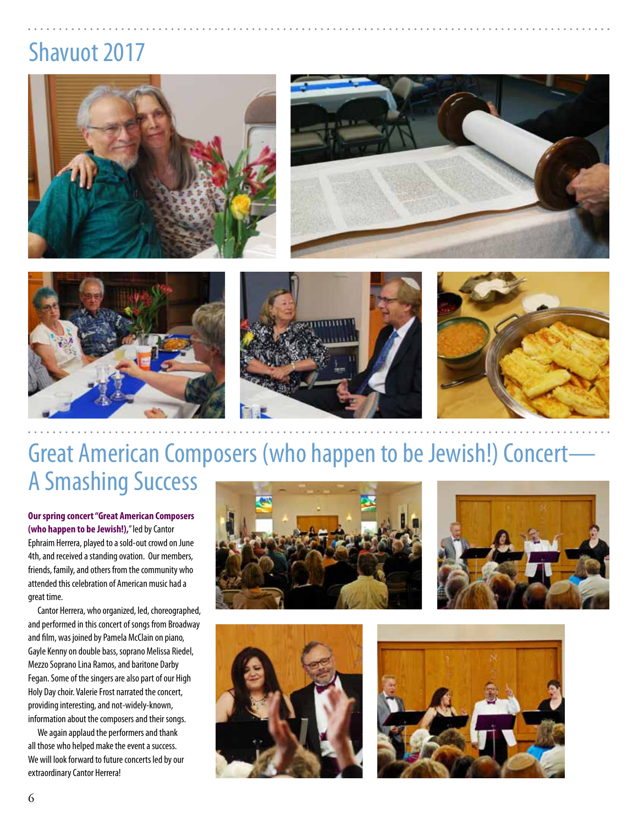# Shavuot 2017











# Great American Composers (who happen to be Jewish!) Concert— A Smashing Success

**Our spring concert "Great American Composers (who happen to be Jewish!),**" led by Cantor Ephraim Herrera, played to a sold-out crowd on June 4th, and received a standing ovation. Our members, friends, family, and others from the community who attended this celebration of American music had a great time.

Cantor Herrera, who organized, led, choreographed, and performed in this concert of songs from Broadway and film, was joined by Pamela McClain on piano, Gayle Kenny on double bass, soprano Melissa Riedel, Mezzo Soprano Lina Ramos, and baritone Darby Fegan. Some of the singers are also part of our High Holy Day choir. Valerie Frost narrated the concert, providing interesting, and not-widely-known, information about the composers and their songs.

We again applaud the performers and thank all those who helped make the event a success. We will look forward to future concerts led by our extraordinary Cantor Herrera!







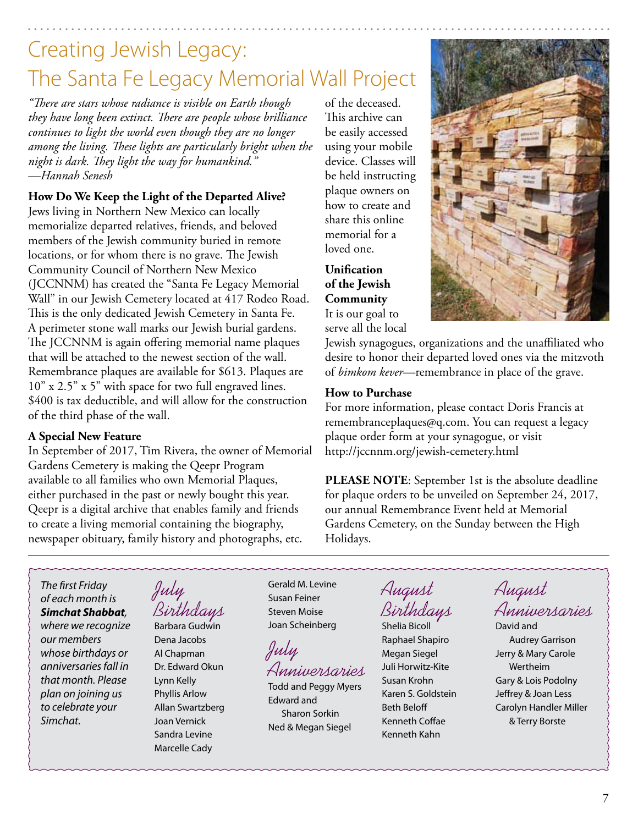# Creating Jewish Legacy: The Santa Fe Legacy Memorial Wall Project

*"There are stars whose radiance is visible on Earth though they have long been extinct. There are people whose brilliance continues to light the world even though they are no longer among the living. These lights are particularly bright when the night is dark. They light the way for humankind." —Hannah Senesh*

# **How Do We Keep the Light of the Departed Alive?**

Jews living in Northern New Mexico can locally memorialize departed relatives, friends, and beloved members of the Jewish community buried in remote locations, or for whom there is no grave. The Jewish Community Council of Northern New Mexico (JCCNNM) has created the "Santa Fe Legacy Memorial Wall" in our Jewish Cemetery located at 417 Rodeo Road. This is the only dedicated Jewish Cemetery in Santa Fe. A perimeter stone wall marks our Jewish burial gardens. The JCCNNM is again offering memorial name plaques that will be attached to the newest section of the wall. Remembrance plaques are available for \$613. Plaques are 10" x 2.5" x 5" with space for two full engraved lines. \$400 is tax deductible, and will allow for the construction of the third phase of the wall.

# **A Special New Feature**

In September of 2017, Tim Rivera, the owner of Memorial Gardens Cemetery is making the Qeepr Program available to all families who own Memorial Plaques, either purchased in the past or newly bought this year. Qeepr is a digital archive that enables family and friends to create a living memorial containing the biography, newspaper obituary, family history and photographs, etc.

of the deceased. This archive can be easily accessed using your mobile device. Classes will be held instructing plaque owners on how to create and share this online memorial for a loved one.

**Unification of the Jewish Community** It is our goal to serve all the local



Jewish synagogues, organizations and the unaffiliated who desire to honor their departed loved ones via the mitzvoth of *bimkom kever*—remembrance in place of the grave.

# **How to Purchase**

For more information, please contact Doris Francis at remembranceplaques@q.com. You can request a legacy plaque order form at your synagogue, or visit http://jccnnm.org/jewish-cemetery.html

**PLEASE NOTE:** September 1st is the absolute deadline for plaque orders to be unveiled on September 24, 2017, our annual Remembrance Event held at Memorial Gardens Cemetery, on the Sunday between the High Holidays.

*The first Friday of each month is Simchat Shabbat, where we recognize our members whose birthdays or anniversaries fall in that month. Please plan on joining us to celebrate your Simchat.*

July Birthdays

Barbara Gudwin Dena Jacobs Al Chapman Dr. Edward Okun Lynn Kelly Phyllis Arlow Allan Swartzberg Joan Vernick Sandra Levine Marcelle Cady

Gerald M. Levine Susan Feiner Steven Moise Joan Scheinberg

July Anniversaries

Todd and Peggy Myers Edward and Sharon Sorkin Ned & Megan Siegel

August Birthdays

Shelia Bicoll Raphael Shapiro Megan Siegel Juli Horwitz-Kite Susan Krohn Karen S. Goldstein Beth Beloff Kenneth Coffae Kenneth Kahn

August Anniversaries

David and Audrey Garrison Jerry & Mary Carole Wertheim Gary & Lois Podolny Jeffrey & Joan Less Carolyn Handler Miller & Terry Borste